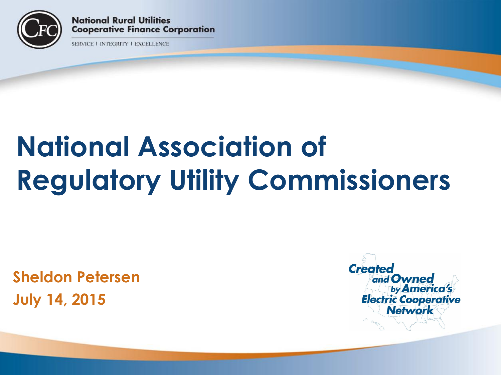

**National Rural Utilities Cooperative Finance Corporation** 

**SERVICE I INTEGRITY I EXCELLENCE** 

# **National Association of Regulatory Utility Commissioners**

**Sheldon Petersen July 14, 2015**

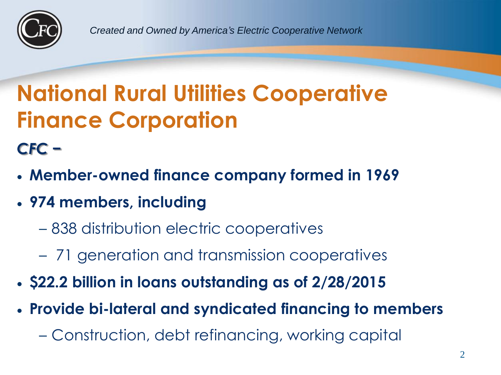

*Created and Owned by America's Electric Cooperative Network*

## **National Rural Utilities Cooperative Finance Corporation**

*CFC −*

- **Member-owned finance company formed in 1969**
- **974 members, including**
	- 838 distribution electric cooperatives
	- 71 generation and transmission cooperatives
- **\$22.2 billion in loans outstanding as of 2/28/2015**
- **Provide bi-lateral and syndicated financing to members**
	- Construction, debt refinancing, working capital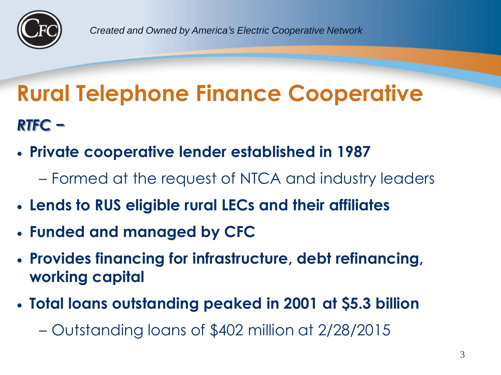

## **Rural Telephone Finance Cooperative** *RTFC −*

- **Private cooperative lender established in 1987**
	- Formed at the request of NTCA and industry leaders
- **Lends to RUS eligible rural LECs and their affiliates**
- **Funded and managed by CFC**
- **Provides financing for infrastructure, debt refinancing, working capital**
- **Total loans outstanding peaked in 2001 at \$5.3 billion**

– Outstanding loans of \$402 million at 2/28/2015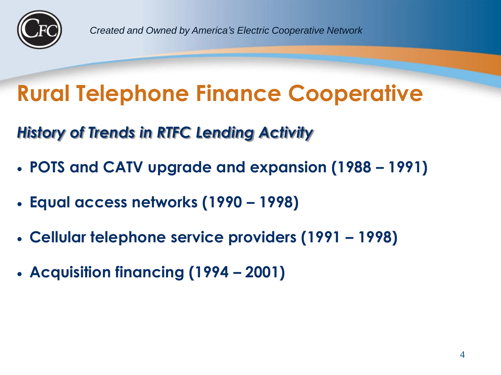

## **Rural Telephone Finance Cooperative**

*History of Trends in RTFC Lending Activity*

- **POTS and CATV upgrade and expansion (1988 – 1991)**
- **Equal access networks (1990 – 1998)**
- **Cellular telephone service providers (1991 – 1998)**
- **Acquisition financing (1994 – 2001)**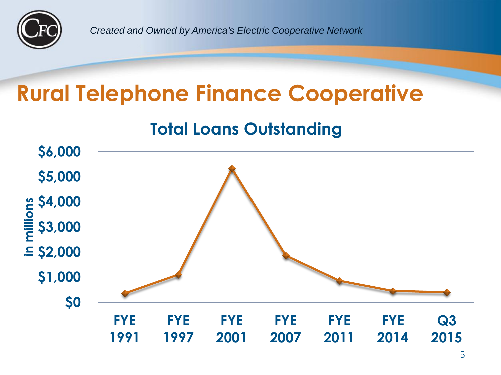

*Created and Owned by America's Electric Cooperative Network*

#### **Rural Telephone Finance Cooperative**

#### **Total Loans Outstanding**

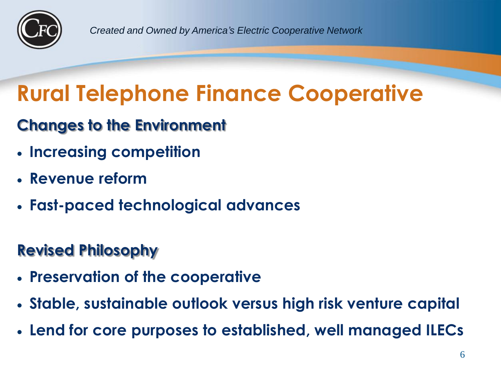

*Created and Owned by America's Electric Cooperative Network*

#### **Rural Telephone Finance Cooperative**

#### **Changes to the Environment**

- **Increasing competition**
- **Revenue reform**
- **Fast-paced technological advances**

#### **Revised Philosophy**

- **Preservation of the cooperative**
- **Stable, sustainable outlook versus high risk venture capital**
- **Lend for core purposes to established, well managed ILECs**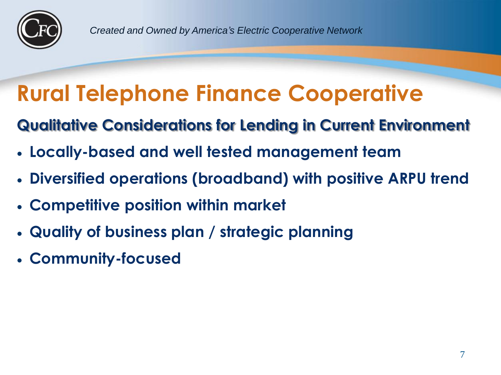

## **Rural Telephone Finance Cooperative**

**Qualitative Considerations for Lending in Current Environment**

- **Locally-based and well tested management team**
- **Diversified operations (broadband) with positive ARPU trend**
- **Competitive position within market**
- **Quality of business plan / strategic planning**
- **Community-focused**